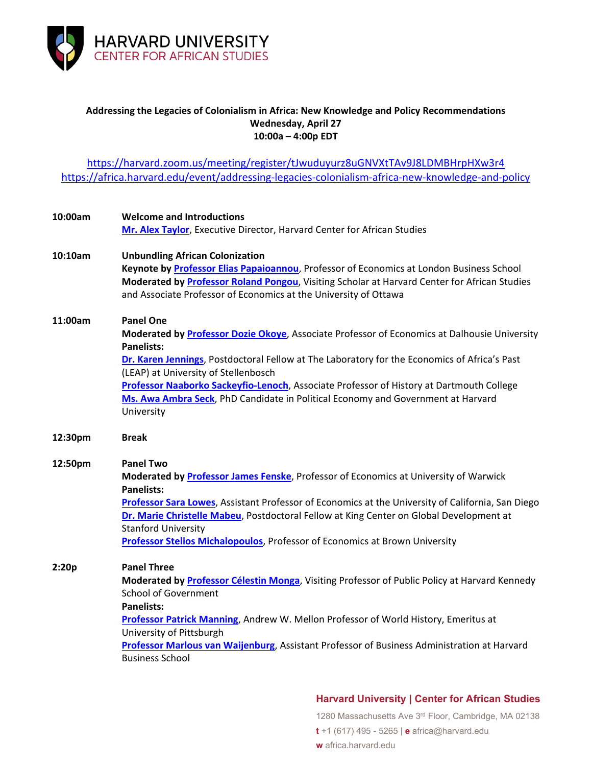

## **Addressing the Legacies of Colonialism in Africa: New Knowledge and Policy Recommendations Wednesday, April 27 10:00a – 4:00p EDT**

<https://harvard.zoom.us/meeting/register/tJwuduyurz8uGNVXtTAv9J8LDMBHrpHXw3r4> <https://africa.harvard.edu/event/addressing-legacies-colonialism-africa-new-knowledge-and-policy>

| 10:00am | <b>Welcome and Introductions</b>                                                                      |
|---------|-------------------------------------------------------------------------------------------------------|
|         | Mr. Alex Taylor, Executive Director, Harvard Center for African Studies                               |
| 10:10am | <b>Unbundling African Colonization</b>                                                                |
|         | Keynote by Professor Elias Papaioannou, Professor of Economics at London Business School              |
|         | Moderated by Professor Roland Pongou, Visiting Scholar at Harvard Center for African Studies          |
|         | and Associate Professor of Economics at the University of Ottawa                                      |
| 11:00am | <b>Panel One</b>                                                                                      |
|         | Moderated by Professor Dozie Okoye, Associate Professor of Economics at Dalhousie University          |
|         | <b>Panelists:</b>                                                                                     |
|         | Dr. Karen Jennings, Postdoctoral Fellow at The Laboratory for the Economics of Africa's Past          |
|         | (LEAP) at University of Stellenbosch                                                                  |
|         | Professor Naaborko Sackeyfio-Lenoch, Associate Professor of History at Dartmouth College              |
|         | Ms. Awa Ambra Seck, PhD Candidate in Political Economy and Government at Harvard                      |
|         | University                                                                                            |
| 12:30pm | <b>Break</b>                                                                                          |
| 12:50pm | <b>Panel Two</b>                                                                                      |
|         | Moderated by Professor James Fenske, Professor of Economics at University of Warwick                  |
|         | <b>Panelists:</b>                                                                                     |
|         | Professor Sara Lowes, Assistant Professor of Economics at the University of California, San Diego     |
|         | Dr. Marie Christelle Mabeu, Postdoctoral Fellow at King Center on Global Development at               |
|         | <b>Stanford University</b>                                                                            |
|         | Professor Stelios Michalopoulos, Professor of Economics at Brown University                           |
| 2:20p   | <b>Panel Three</b>                                                                                    |
|         | Moderated by <b>Professor Célestin Monga</b> , Visiting Professor of Public Policy at Harvard Kennedy |
|         | <b>School of Government</b>                                                                           |
|         | <b>Panelists:</b>                                                                                     |
|         | Professor Patrick Manning, Andrew W. Mellon Professor of World History, Emeritus at                   |
|         | University of Pittsburgh                                                                              |
|         | Professor Marlous van Waijenburg, Assistant Professor of Business Administration at Harvard           |
|         | <b>Business School</b>                                                                                |
|         |                                                                                                       |

# **Harvard University | Center for African Studies**

1280 Massachusetts Ave 3rd Floor, Cambridge, MA 02138

**t** +1 (617) 495 - 5265 | **e** africa@harvard.edu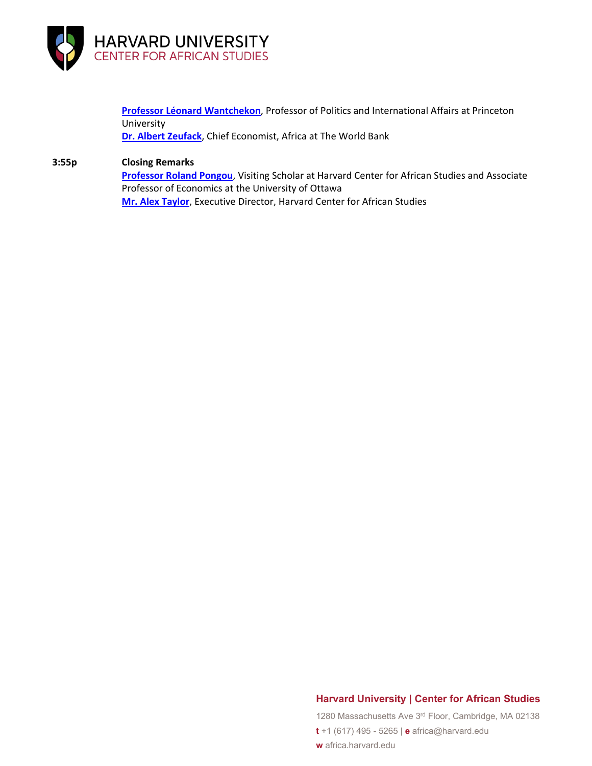

**[Professor Léonard Wantchekon](https://scholar.princeton.edu/lwantche/home)**, Professor of Politics and International Affairs at Princeton University **[Dr. Albert Zeufack](https://www.worldbank.org/en/about/people/a/albert-zeufack)**, Chief Economist, Africa at The World Bank

#### **3:55p Closing Remarks**

**[Professor Roland Pongou](https://africa.harvard.edu/people/roland-pongou)**, Visiting Scholar at Harvard Center for African Studies and Associate Professor of Economics at the University of Ottawa **[Mr. Alex Taylor](https://africa.harvard.edu/people/alex-taylor)**, Executive Director, Harvard Center for African Studies

## **Harvard University | Center for African Studies**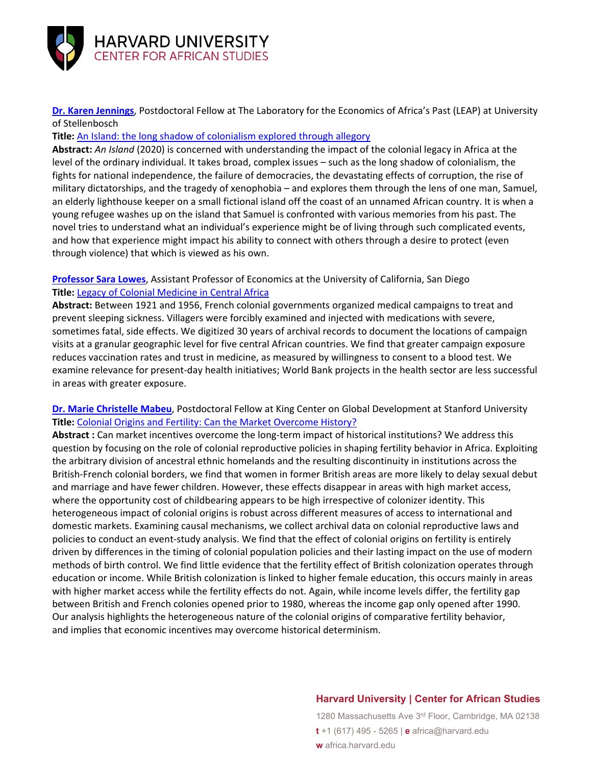

**[Dr. Karen Jennings](https://leapstellenbosch.org.za/#team)**, Postdoctoral Fellow at The Laboratory for the Economics of Africa's Past (LEAP) at University of Stellenbosch

## **Title:** [An Island: the long shadow of colonialism explored through allegory](https://www.hhousebooks.com/books/an-island/)

**Abstract:** *An Island* (2020) is concerned with understanding the impact of the colonial legacy in Africa at the level of the ordinary individual. It takes broad, complex issues – such as the long shadow of colonialism, the fights for national independence, the failure of democracies, the devastating effects of corruption, the rise of military dictatorships, and the tragedy of xenophobia – and explores them through the lens of one man, Samuel, an elderly lighthouse keeper on a small fictional island off the coast of an unnamed African country. It is when a young refugee washes up on the island that Samuel is confronted with various memories from his past. The novel tries to understand what an individual's experience might be of living through such complicated events, and how that experience might impact his ability to connect with others through a desire to protect (even through violence) that which is viewed as his own.

## **[Professor Sara Lowes](https://www.saralowes.com/)**, Assistant Professor of Economics at the University of California, San Diego **Title:** [Legacy of Colonial Medicine in Central Africa](https://www.aeaweb.org/articles?id=10.1257/aer.20180284)

**Abstract:** Between 1921 and 1956, French colonial governments organized medical campaigns to treat and prevent sleeping sickness. Villagers were forcibly examined and injected with medications with severe, sometimes fatal, side effects. We digitized 30 years of archival records to document the locations of campaign visits at a granular geographic level for five central African countries. We find that greater campaign exposure reduces vaccination rates and trust in medicine, as measured by willingness to consent to a blood test. We examine relevance for present-day health initiatives; World Bank projects in the health sector are less successful in areas with greater exposure.

## **[Dr. Marie Christelle Mabeu](https://kingcenter.stanford.edu/people/marie-christelle-mabeu)**, Postdoctoral Fellow at King Center on Global Development at Stanford University **Title:** [Colonial Origins and Fertility: Can the Market Overcome History?](https://kingcenter.stanford.edu/publications/working-paper/colonial-origins-and-fertility-can-market-overcome-history)

**Abstract :** Can market incentives overcome the long-term impact of historical institutions? We address this question by focusing on the role of colonial reproductive policies in shaping fertility behavior in Africa. Exploiting the arbitrary division of ancestral ethnic homelands and the resulting discontinuity in institutions across the British-French colonial borders, we find that women in former British areas are more likely to delay sexual debut and marriage and have fewer children. However, these effects disappear in areas with high market access, where the opportunity cost of childbearing appears to be high irrespective of colonizer identity. This heterogeneous impact of colonial origins is robust across different measures of access to international and domestic markets. Examining causal mechanisms, we collect archival data on colonial reproductive laws and policies to conduct an event-study analysis. We find that the effect of colonial origins on fertility is entirely driven by differences in the timing of colonial population policies and their lasting impact on the use of modern methods of birth control. We find little evidence that the fertility effect of British colonization operates through education or income. While British colonization is linked to higher female education, this occurs mainly in areas with higher market access while the fertility effects do not. Again, while income levels differ, the fertility gap between British and French colonies opened prior to 1980, whereas the income gap only opened after 1990. Our analysis highlights the heterogeneous nature of the colonial origins of comparative fertility behavior, and implies that economic incentives may overcome historical determinism.

## **Harvard University | Center for African Studies**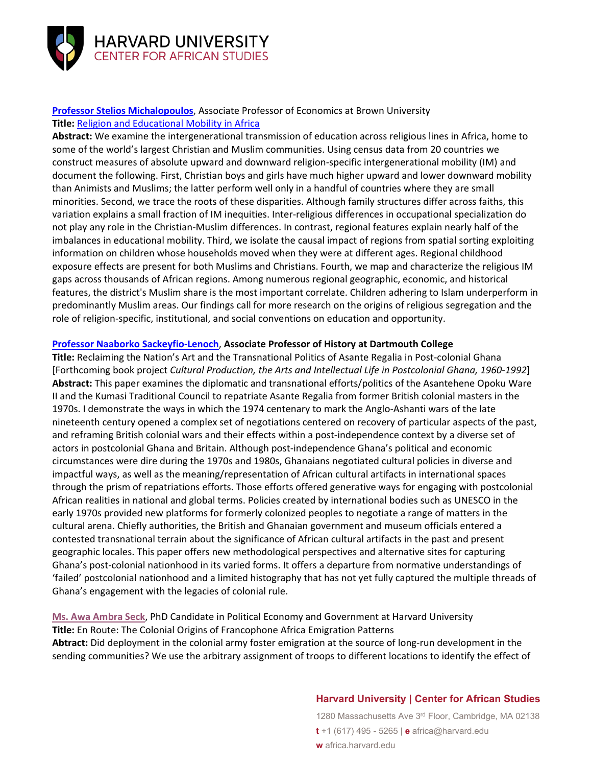

# **[Professor Stelios Michalopoulos](https://www.brown.edu/academics/population-studies/people/person/stelios-michalopoulos)**, Associate Professor of Economics at Brown University

# **Title:** [Religion and Educational Mobility in Africa](https://www.nber.org/papers/w28270)

**Abstract:** We examine the intergenerational transmission of education across religious lines in Africa, home to some of the world's largest Christian and Muslim communities. Using census data from 20 countries we construct measures of absolute upward and downward religion-specific intergenerational mobility (IM) and document the following. First, Christian boys and girls have much higher upward and lower downward mobility than Animists and Muslims; the latter perform well only in a handful of countries where they are small minorities. Second, we trace the roots of these disparities. Although family structures differ across faiths, this variation explains a small fraction of IM inequities. Inter-religious differences in occupational specialization do not play any role in the Christian-Muslim differences. In contrast, regional features explain nearly half of the imbalances in educational mobility. Third, we isolate the causal impact of regions from spatial sorting exploiting information on children whose households moved when they were at different ages. Regional childhood exposure effects are present for both Muslims and Christians. Fourth, we map and characterize the religious IM gaps across thousands of African regions. Among numerous regional geographic, economic, and historical features, the district's Muslim share is the most important correlate. Children adhering to Islam underperform in predominantly Muslim areas. Our findings call for more research on the origins of religious segregation and the role of religion-specific, institutional, and social conventions on education and opportunity.

#### **[Professor Naaborko Sackeyfio-Lenoch](https://faculty-directory.dartmouth.edu/naaborko-sackeyfio-lenoch)**, **Associate Professor of History at Dartmouth College**

**Title:** Reclaiming the Nation's Art and the Transnational Politics of Asante Regalia in Post-colonial Ghana [Forthcoming book project *Cultural Production, the Arts and Intellectual Life in Postcolonial Ghana, 1960-1992*] **Abstract:** This paper examines the diplomatic and transnational efforts/politics of the Asantehene Opoku Ware II and the Kumasi Traditional Council to repatriate Asante Regalia from former British colonial masters in the 1970s. I demonstrate the ways in which the 1974 centenary to mark the Anglo-Ashanti wars of the late nineteenth century opened a complex set of negotiations centered on recovery of particular aspects of the past, and reframing British colonial wars and their effects within a post-independence context by a diverse set of actors in postcolonial Ghana and Britain. Although post-independence Ghana's political and economic circumstances were dire during the 1970s and 1980s, Ghanaians negotiated cultural policies in diverse and impactful ways, as well as the meaning/representation of African cultural artifacts in international spaces through the prism of repatriations efforts. Those efforts offered generative ways for engaging with postcolonial African realities in national and global terms. Policies created by international bodies such as UNESCO in the early 1970s provided new platforms for formerly colonized peoples to negotiate a range of matters in the cultural arena. Chiefly authorities, the British and Ghanaian government and museum officials entered a contested transnational terrain about the significance of African cultural artifacts in the past and present geographic locales. This paper offers new methodological perspectives and alternative sites for capturing Ghana's post-colonial nationhood in its varied forms. It offers a departure from normative understandings of 'failed' postcolonial nationhood and a limited histography that has not yet fully captured the multiple threads of Ghana's engagement with the legacies of colonial rule.

**[Ms. Awa Ambra Seck](https://scholar.harvard.edu/awaambraseck/home)**, PhD Candidate in Political Economy and Government at Harvard University **Title:** En Route: The Colonial Origins of Francophone Africa Emigration Patterns **Abtract:** Did deployment in the colonial army foster emigration at the source of long-run development in the sending communities? We use the arbitrary assignment of troops to different locations to identify the effect of

## **Harvard University | Center for African Studies**